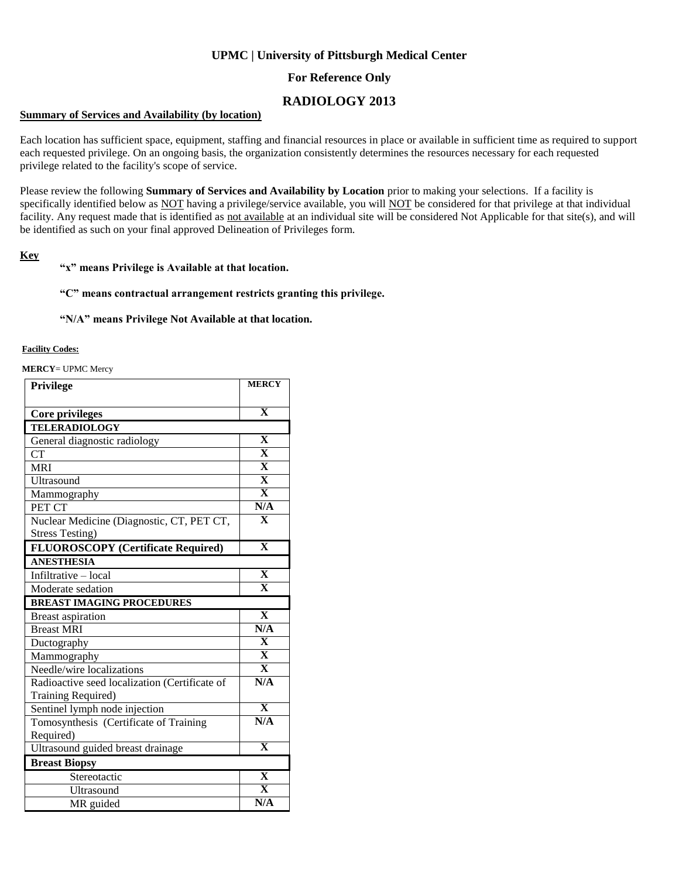## **UPMC | University of Pittsburgh Medical Center**

## **For Reference Only**

# **RADIOLOGY 2013**

### **Summary of Services and Availability (by location)**

Each location has sufficient space, equipment, staffing and financial resources in place or available in sufficient time as required to support each requested privilege. On an ongoing basis, the organization consistently determines the resources necessary for each requested privilege related to the facility's scope of service.

Please review the following **Summary of Services and Availability by Location** prior to making your selections. If a facility is specifically identified below as NOT having a privilege/service available, you will NOT be considered for that privilege at that individual facility. Any request made that is identified as not available at an individual site will be considered Not Applicable for that site(s), and will be identified as such on your final approved Delineation of Privileges form.

### **Key**

### **"x" means Privilege is Available at that location.**

### **"C" means contractual arrangement restricts granting this privilege.**

#### **"N/A" means Privilege Not Available at that location.**

### **Facility Codes:**

**MERCY**= UPMC Mercy

| Privilege                                     | <b>MERCY</b>            |
|-----------------------------------------------|-------------------------|
|                                               |                         |
| <b>Core privileges</b>                        | $\overline{\mathbf{X}}$ |
| <b>TELERADIOLOGY</b>                          |                         |
| General diagnostic radiology                  | $\overline{\mathbf{X}}$ |
| <b>CT</b>                                     | $\overline{\mathbf{X}}$ |
| <b>MRI</b>                                    | $\overline{\mathbf{X}}$ |
| Ultrasound                                    | $\overline{\mathbf{X}}$ |
| Mammography                                   | $\overline{\mathbf{X}}$ |
| PET CT                                        | N/A                     |
| Nuclear Medicine (Diagnostic, CT, PET CT,     | $\overline{\mathbf{X}}$ |
| <b>Stress Testing)</b>                        |                         |
| <b>FLUOROSCOPY</b> (Certificate Required)     | $\overline{\mathbf{X}}$ |
| <b>ANESTHESIA</b>                             |                         |
| Infiltrative - local                          | $\overline{\mathbf{X}}$ |
| Moderate sedation                             | $\overline{\mathbf{X}}$ |
| <b>BREAST IMAGING PROCEDURES</b>              |                         |
| <b>Breast aspiration</b>                      | $\overline{\mathbf{X}}$ |
| <b>Breast MRI</b>                             | N/A                     |
| Ductography                                   | $\overline{\mathbf{X}}$ |
| Mammography                                   | $\overline{\mathbf{X}}$ |
| Needle/wire localizations                     | $\overline{\mathbf{X}}$ |
| Radioactive seed localization (Certificate of | N/A                     |
| Training Required)                            |                         |
| Sentinel lymph node injection                 | $\overline{\mathbf{x}}$ |
| Tomosynthesis (Certificate of Training        | N/A                     |
| Required)                                     |                         |
| Ultrasound guided breast drainage             | $\overline{\mathbf{X}}$ |
| <b>Breast Biopsy</b>                          |                         |
| Stereotactic                                  | $\overline{\mathbf{X}}$ |
| Ultrasound                                    | $\overline{\mathbf{X}}$ |
| MR guided                                     | N/A                     |